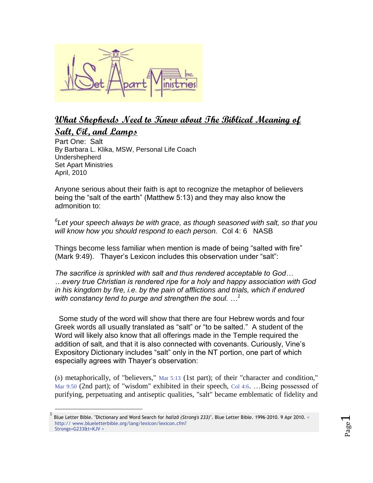

## **What Shepherds Need to Know about The Biblical Meaning of Salt, Oil, and Lamps**

Part One: Salt By Barbara L. Klika, MSW, Personal Life Coach Undershepherd Set Apart Ministries April, 2010

 $\overline{a}$ 

Anyone serious about their faith is apt to recognize the metaphor of believers being the "salt of the earth" (Matthew 5:13) and they may also know the admonition to:

*6 Let your speech always be with grace, as though seasoned with salt, so that you will know how you should respond to each person.* Col 4: 6 NASB

Things become less familiar when mention is made of being "salted with fire" (Mark 9:49). Thayer's Lexicon includes this observation under "salt":

*The sacrifice is sprinkled with salt and thus rendered acceptable to God… …every true Christian is rendered ripe for a holy and happy association with God in his kingdom by fire, i.e. by the pain of afflictions and trials, which if endured with constancy tend to purge and strengthen the soul. …<sup>1</sup>*

 Some study of the word will show that there are four Hebrew words and four Greek words all usually translated as "salt" or "to be salted." A student of the Word will likely also know that all offerings made in the Temple required the addition of salt, and that it is also connected with covenants. Curiously, Vine's Expository Dictionary includes "salt" only in the NT portion, one part of which especially agrees with Thayer's observation:

(*b*) metaphorically, of "believers," [Mat 5:13](http://www.blueletterbible.org/Bible.cfm?b=Mat&c=5&v=13#13) (1st part); of their "character and condition," [Mar 9:50](http://www.blueletterbible.org/Bible.cfm?b=Mar&c=9&v=50#50) (2nd part); of "wisdom" exhibited in their speech, [Col 4:6](http://www.blueletterbible.org/Bible.cfm?b=Col&c=4&v=6#6). ...Being possessed of purifying, perpetuating and antiseptic qualities, "salt" became emblematic of fidelity and

<sup>1</sup> Blue Letter Bible. "Dictionary and Word Search for *halizō (Strong's 233)*". Blue Letter Bible. 1996-2010. 9 Apr 2010. [<](http://www.blueletterbible.org/lang/lexicon/lexicon.cfm?Strongs=G233&t=KJV)  [http:// www.blueletterbible.org/lang/lexicon/lexicon.cfm?](http://www.blueletterbible.org/lang/lexicon/lexicon.cfm?Strongs=G233&t=KJV) [Strongs=G233&t=KJV >](http://www.blueletterbible.org/lang/lexicon/lexicon.cfm?Strongs=G233&t=KJV)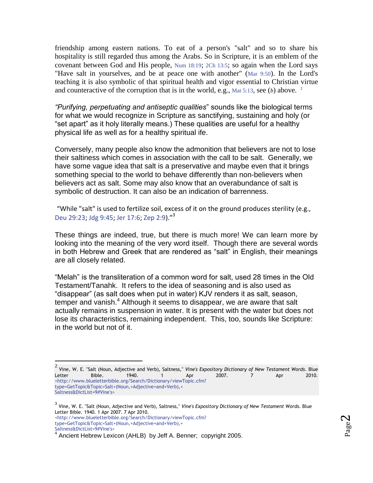friendship among eastern nations. To eat of a person's "salt" and so to share his hospitality is still regarded thus among the Arabs. So in Scripture, it is an emblem of the covenant between God and His people, [Num 18:19](http://www.blueletterbible.org/Bible.cfm?b=Num&c=18&v=19#19); [2Ch 13:5](http://www.blueletterbible.org/Bible.cfm?b=2Ch&c=13&v=5#5); so again when the Lord says "Have salt in yourselves, and be at peace one with another" ([Mar 9:50](http://www.blueletterbible.org/Bible.cfm?b=Mar&c=9&v=50#50)). In the Lord's teaching it is also symbolic of that spiritual health and vigor essential to Christian virtue and counteractive of the corruption that is in the world, e.g., [Mat 5:13](http://www.blueletterbible.org/Bible.cfm?b=Mat&c=5&v=13#13), see (*b*) above. <sup>2</sup>

*"Purifying, perpetuating and antiseptic qualities*" sounds like the biological terms for what we would recognize in Scripture as sanctifying, sustaining and holy (or "set apart" as it holy literally means.) These qualities are useful for a healthy physical life as well as for a healthy spiritual ife.

Conversely, many people also know the admonition that believers are not to lose their saltiness which comes in association with the call to be salt. Generally, we have some vague idea that salt is a preservative and maybe even that it brings something special to the world to behave differently than non-believers when believers act as salt. Some may also know that an overabundance of salt is symbolic of destruction. It can also be an indication of barrenness.

"While "salt" is used to fertilize soil, excess of it on the ground produces sterility (e.g., [Deu 29:23;](http://www.blueletterbible.org/Bible.cfm?b=Deu&c=29&v=23#23) [Jdg 9:45;](http://www.blueletterbible.org/Bible.cfm?b=Jdg&c=9&v=45#45) [Jer 17:6;](http://www.blueletterbible.org/Bible.cfm?b=Jer&c=17&v=6#6) [Zep 2:9\)](http://www.blueletterbible.org/Bible.cfm?b=Zep&c=2&v=9#9)."<sup>3</sup>

These things are indeed, true, but there is much more! We can learn more by looking into the meaning of the very word itself. Though there are several words in both Hebrew and Greek that are rendered as "salt" in English, their meanings are all closely related.

"Melah" is the transliteration of a common word for salt, used 28 times in the Old Testament/Tanahk. It refers to the idea of seasoning and is also used as "disappear" (as salt does when put in water) KJV renders it as salt, season, temper and vanish. $<sup>4</sup>$  Although it seems to disappear, we are aware that salt</sup> actually remains in suspension in water. It is present with the water but does not lose its characteristics, remaining independent. This, too, sounds like Scripture: in the world but not of it.

 $\overline{a}$ 

<sup>2</sup> Vine, W. E. "Salt (Noun, Adjective and Verb), Saltness," *Vine's Expository Dictionary of New Testament Words*. Blue Letter Bible. 1940. 1 Apr 2007. 7 Apr 2010. [<http://www.blueletterbible.org/Search/Dictionary/viewTopic.cfm?](http://www.blueletterbible.org/Search/Dictionary/viewTopic.cfm?type=GetTopic&Topic=Salt+(Noun,+Adjective+and+Verb),+Saltness&DictList=9#Vine) [type=GetTopic&Topic=Salt+\(Noun,+Adjective+and+Verb\),+](http://www.blueletterbible.org/Search/Dictionary/viewTopic.cfm?type=GetTopic&Topic=Salt+(Noun,+Adjective+and+Verb),+Saltness&DictList=9#Vine) [Saltness&DictList=9#Vine's>](http://www.blueletterbible.org/Search/Dictionary/viewTopic.cfm?type=GetTopic&Topic=Salt+(Noun,+Adjective+and+Verb),+Saltness&DictList=9#Vine)

<sup>3</sup> Vine, W. E. "Salt (Noun, Adjective and Verb), Saltness," *Vine's Expository Dictionary of New Testament Words*. Blue Letter Bible. 1940. 1 Apr 2007. 7 Apr 2010. [<http://www.blueletterbible.org/Search/Dictionary/viewTopic.cfm?](http://www.blueletterbible.org/Search/Dictionary/viewTopic.cfm?type=GetTopic&Topic=Salt+(Noun,+Adjective+and+Verb),+Saltness&DictList=9#Vine) [type=GetTopic&Topic=Salt+\(Noun,+Adjective+and+Verb\),+](http://www.blueletterbible.org/Search/Dictionary/viewTopic.cfm?type=GetTopic&Topic=Salt+(Noun,+Adjective+and+Verb),+Saltness&DictList=9#Vine) [Saltness&DictList=9#Vine's>](http://www.blueletterbible.org/Search/Dictionary/viewTopic.cfm?type=GetTopic&Topic=Salt+(Noun,+Adjective+and+Verb),+Saltness&DictList=9#Vine) 4

Ancient Hebrew Lexicon (AHLB) by Jeff A. Benner; copyright 2005.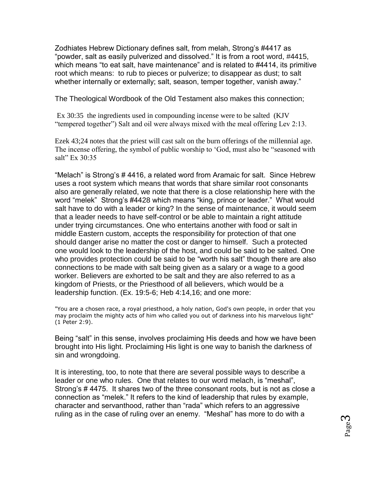Zodhiates Hebrew Dictionary defines salt, from melah, Strong's #4417 as "powder, salt as easily pulverized and dissolved." It is from a root word, #4415, which means "to eat salt, have maintenance" and is related to #4414, its primitive root which means: to rub to pieces or pulverize; to disappear as dust; to salt whether internally or externally; salt, season, temper together, vanish away."

The Theological Wordbook of the Old Testament also makes this connection;

Ex 30:35 the ingredients used in compounding incense were to be salted (KJV "tempered together") Salt and oil were always mixed with the meal offering Lev 2:13.

Ezek 43;24 notes that the priest will cast salt on the burn offerings of the millennial age. The incense offering, the symbol of public worship to 'God, must also be "seasoned with salt" Ex 30:35

"Melach" is Strong's # 4416, a related word from Aramaic for salt. Since Hebrew uses a root system which means that words that share similar root consonants also are generally related, we note that there is a close relationship here with the word "melek" Strong's #4428 which means "king, prince or leader." What would salt have to do with a leader or king? In the sense of maintenance, it would seem that a leader needs to have self-control or be able to maintain a right attitude under trying circumstances. One who entertains another with food or salt in middle Eastern custom, accepts the responsibility for protection of that one should danger arise no matter the cost or danger to himself. Such a protected one would look to the leadership of the host, and could be said to be salted. One who provides protection could be said to be "worth his salt" though there are also connections to be made with salt being given as a salary or a wage to a good worker. Believers are exhorted to be salt and they are also referred to as a kingdom of Priests, or the Priesthood of all believers, which would be a leadership function. (Ex. 19:5-6; Heb 4:14,16; and one more:

"You are a chosen race, a royal priesthood, a holy nation, God's own people, in order that you may proclaim the mighty acts of him who called you out of darkness into his marvelous light" (1 Peter 2:9).

Being "salt" in this sense, involves proclaiming His deeds and how we have been brought into His light. Proclaiming His light is one way to banish the darkness of sin and wrongdoing.

It is interesting, too, to note that there are several possible ways to describe a leader or one who rules. One that relates to our word melach, is "meshal", Strong's # 4475. It shares two of the three consonant roots, but is not as close a connection as "melek." It refers to the kind of leadership that rules by example, character and servanthood, rather than "rada" which refers to an aggressive ruling as in the case of ruling over an enemy. "Meshal" has more to do with a